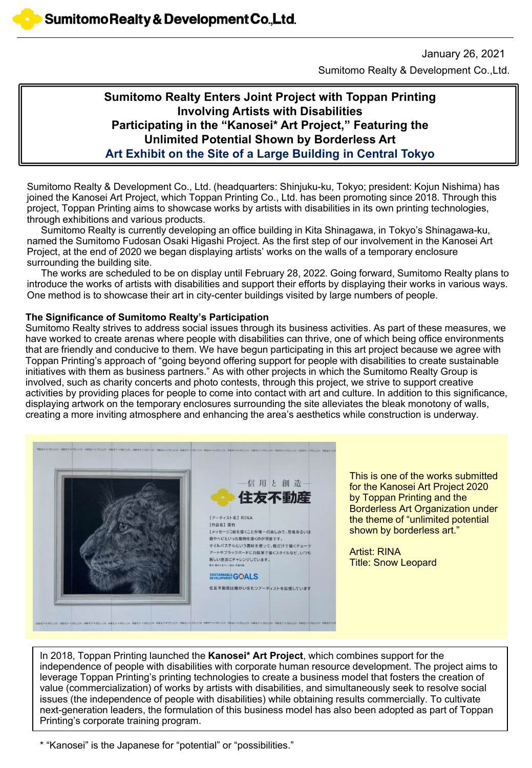Sumitomo Realty & Development Co.,Ltd. January 26, 2021

### **Sumitomo Realty Enters Joint Project with Toppan Printing Involving Artists with Disabilities Participating in the "Kanosei\* Art Project," Featuring the Unlimited Potential Shown by Borderless Art Art Exhibit on the Site of a Large Building in Central Tokyo**

Sumitomo Realty & Development Co., Ltd. (headquarters: Shinjuku-ku, Tokyo; president: Kojun Nishima) has joined the Kanosei Art Project, which Toppan Printing Co., Ltd. has been promoting since 2018. Through this project, Toppan Printing aims to showcase works by artists with disabilities in its own printing technologies, through exhibitions and various products.

Sumitomo Realty is currently developing an office building in Kita Shinagawa, in Tokyo's Shinagawa-ku, named the Sumitomo Fudosan Osaki Higashi Project. As the first step of our involvement in the Kanosei Art Project, at the end of 2020 we began displaying artists' works on the walls of a temporary enclosure surrounding the building site.

The works are scheduled to be on display until February 28, 2022. Going forward, Sumitomo Realty plans to introduce the works of artists with disabilities and support their efforts by displaying their works in various ways. One method is to showcase their art in city-center buildings visited by large numbers of people.

#### **The Significance of Sumitomo Realty's Participation**

Sumitomo Realty strives to address social issues through its business activities. As part of these measures, we have worked to create arenas where people with disabilities can thrive, one of which being office environments that are friendly and conducive to them. We have begun participating in this art project because we agree with Toppan Printing's approach of "going beyond offering support for people with disabilities to create sustainable initiatives with them as business partners." As with other projects in which the Sumitomo Realty Group is involved, such as charity concerts and photo contests, through this project, we strive to support creative activities by providing places for people to come into contact with art and culture. In addition to this significance, displaying artwork on the temporary enclosures surrounding the site alleviates the bleak monotony of walls, creating a more inviting atmosphere and enhancing the area's aesthetics while construction is underway.



This is one of the works submitted for the Kanosei Art Project 2020 by Toppan Printing and the Borderless Art Organization under the theme of "unlimited potential shown by borderless art."

Artist: RINA Title: Snow Leopard

In 2018, Toppan Printing launched the **Kanosei\* Art Project**, which combines support for the independence of people with disabilities with corporate human resource development. The project aims to leverage Toppan Printing's printing technologies to create a business model that fosters the creation of value (commercialization) of works by artists with disabilities, and simultaneously seek to resolve social issues (the independence of people with disabilities) while obtaining results commercially. To cultivate next-generation leaders, the formulation of this business model has also been adopted as part of Toppan Printing's corporate training program.

\* "Kanosei" is the Japanese for "potential" or "possibilities."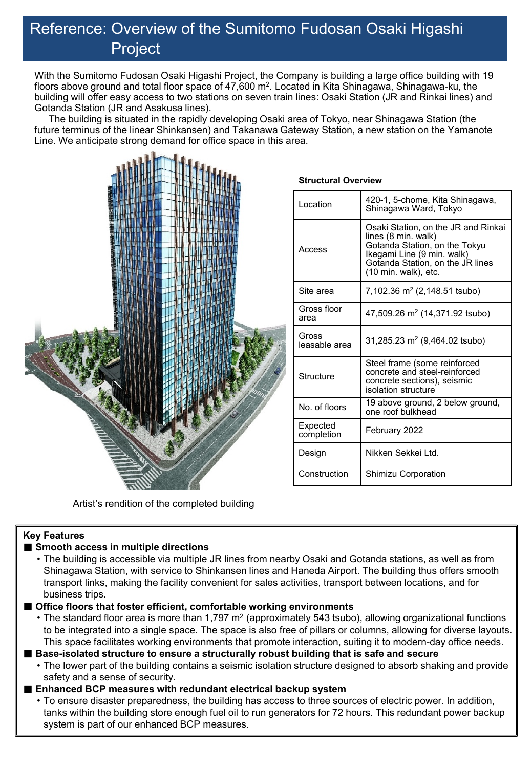## Reference: Overview of the Sumitomo Fudosan Osaki Higashi Project

With the Sumitomo Fudosan Osaki Higashi Project, the Company is building a large office building with 19 floors above ground and total floor space of 47,600 m<sup>2</sup>. Located in Kita Shinagawa, Shinagawa-ku, the building will offer easy access to two stations on seven train lines: Osaki Station (JR and Rinkai lines) and Gotanda Station (JR and Asakusa lines).

The building is situated in the rapidly developing Osaki area of Tokyo, near Shinagawa Station (the future terminus of the linear Shinkansen) and Takanawa Gateway Station, a new station on the Yamanote Line. We anticipate strong demand for office space in this area.



## **Structural Overview**

| I ocation              | 420-1, 5-chome, Kita Shinagawa,<br>Shinagawa Ward, Tokyo                                                                                                                              |
|------------------------|---------------------------------------------------------------------------------------------------------------------------------------------------------------------------------------|
| Access                 | Osaki Station, on the JR and Rinkai<br>lines (8 min. walk)<br>Gotanda Station, on the Tokyu<br>Ikegami Line (9 min. walk)<br>Gotanda Station, on the JR lines<br>(10 min. walk), etc. |
| Site area              | 7,102.36 m <sup>2</sup> (2,148.51 tsubo)                                                                                                                                              |
| Gross floor<br>area    | 47,509.26 m <sup>2</sup> (14,371.92 tsubo)                                                                                                                                            |
| Gross<br>leasable area | 31,285.23 m <sup>2</sup> (9,464.02 tsubo)                                                                                                                                             |
| Structure              | Steel frame (some reinforced<br>concrete and steel-reinforced<br>concrete sections), seismic<br>isolation structure                                                                   |
| No. of floors          | 19 above ground, 2 below ground,<br>one roof bulkhead                                                                                                                                 |
| Expected<br>completion | February 2022                                                                                                                                                                         |
| Design                 | Nikken Sekkei I td.                                                                                                                                                                   |
| Construction           | Shimizu Corporation                                                                                                                                                                   |

Artist's rendition of the completed building

#### **Key Features**

#### ■ Smooth access in multiple directions

• The building is accessible via multiple JR lines from nearby Osaki and Gotanda stations, as well as from Shinagawa Station, with service to Shinkansen lines and Haneda Airport. The building thus offers smooth transport links, making the facility convenient for sales activities, transport between locations, and for business trips.

#### ■ **Office floors that foster efficient, comfortable working environments**

• The standard floor area is more than 1,797  $m^2$  (approximately 543 tsubo), allowing organizational functions to be integrated into a single space. The space is also free of pillars or columns, allowing for diverse layouts. This space facilitates working environments that promote interaction, suiting it to modern-day office needs.

■ Base-isolated structure to ensure a structurally robust building that is safe and secure

• The lower part of the building contains a seismic isolation structure designed to absorb shaking and provide safety and a sense of security.

#### ■ **Enhanced BCP measures with redundant electrical backup system**

• To ensure disaster preparedness, the building has access to three sources of electric power. In addition, tanks within the building store enough fuel oil to run generators for 72 hours. This redundant power backup system is part of our enhanced BCP measures.